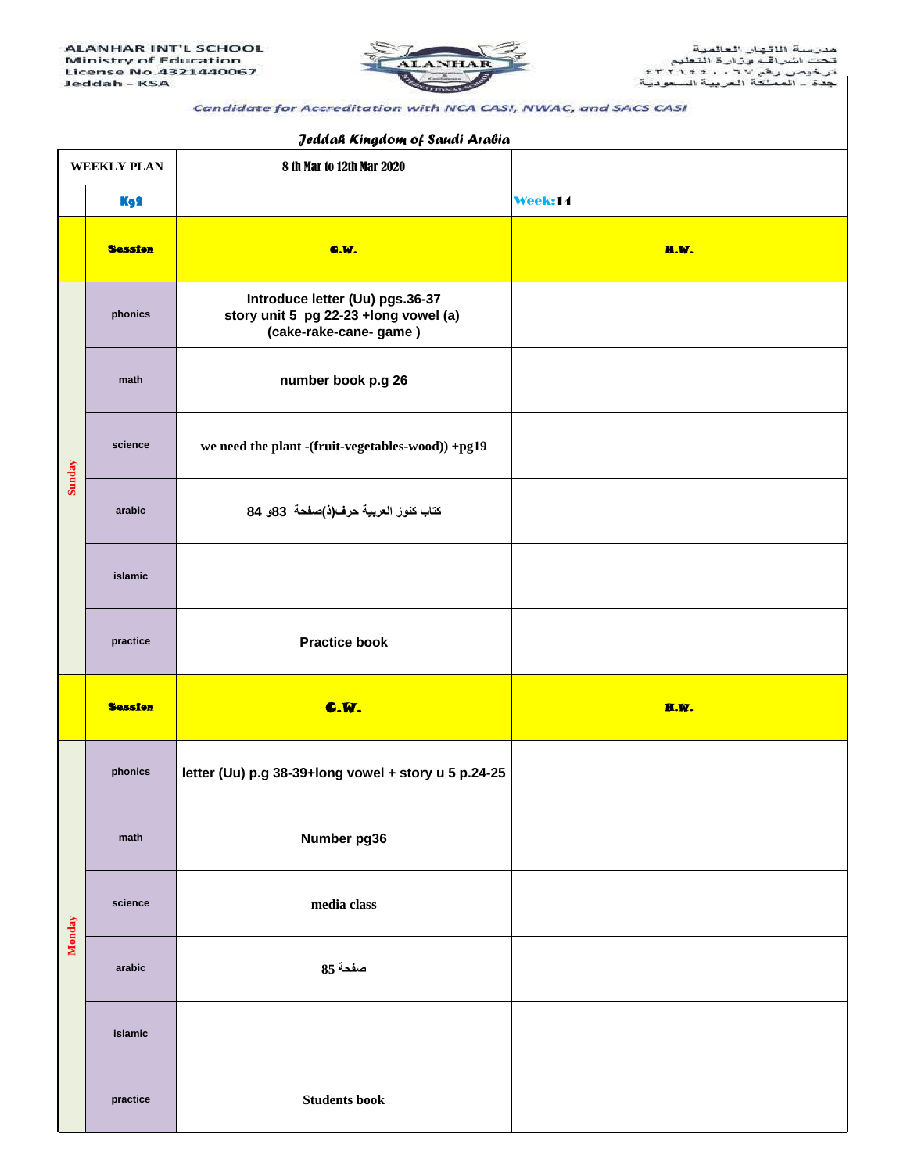

## Candidate for Accreditation with NCA CASI, NWAC, and SACS CASI

## 8 th Mar to 12th Mar 2020 Kg2 Week:14 C.W. H.W. **Introduce letter (Uu) pgs.36-37 story unit 5 pg 22-23 +long vowel (a) (cake-rake-cane- game ) number book p.g 26 we need the plant -(fruit-vegetables-wood)) +pg19 كتاب كنوز العربية حرف)ذ(صفحة 83و 84 Practice book** C.W. H.W. H.W. H.W. H.W. H.W. H.W. H.W. **letter (Uu) p.g 38-39+long vowel + story u 5 p.24-25 Number pg36 media class صفحت 85 Students book science arabic islamic practice Session WEEKLY PLAN Sunday phonics math science arabic islamic practice**  Session **Monday phonics math**

## *Jeddah Kingdom of Saudi Arabia*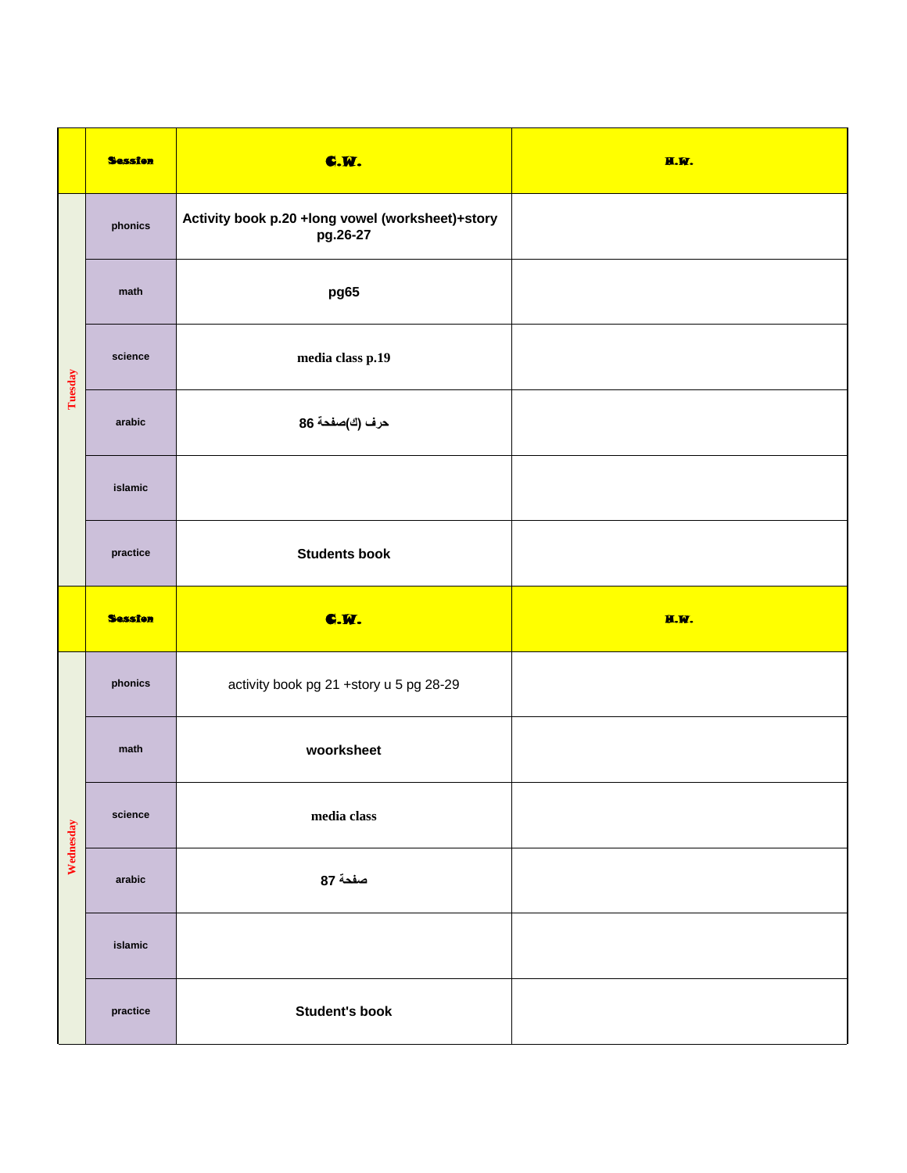|           | <b>Session</b> | <b>C.W.</b>                                                  | H.W. |
|-----------|----------------|--------------------------------------------------------------|------|
| Tuesday   | phonics        | Activity book p.20 +long vowel (worksheet)+story<br>pg.26-27 |      |
|           | math           | pg65                                                         |      |
|           | science        | media class p.19                                             |      |
|           | arabic         | حرف (ك)صفحة 86                                               |      |
|           | islamic        |                                                              |      |
|           | practice       | <b>Students book</b>                                         |      |
|           |                |                                                              |      |
|           | <b>Session</b> | <b>C.M.</b>                                                  | H.W. |
|           | phonics        | activity book pg 21 +story u 5 pg 28-29                      |      |
|           | math           | woorksheet                                                   |      |
|           | science        | media class                                                  |      |
| Wednesday | arabic         | صفحة 87                                                      |      |
|           | islamic        |                                                              |      |